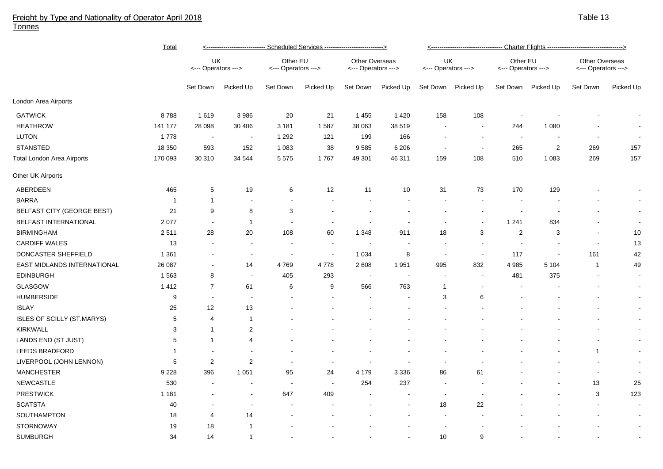## Freight by Type and Nationality of Operator April 2018 Tonnes

|                                   | <u>Total</u> | <u>&lt;---------------------------- Scheduled Services ----------------------------&gt;</u> |                          |                                 |                |                                       |           | <u>&lt;---------------------------------- Charter Flights -----------------------------------&gt;</u> |                          |                                 |                    |                                       |                |  |
|-----------------------------------|--------------|---------------------------------------------------------------------------------------------|--------------------------|---------------------------------|----------------|---------------------------------------|-----------|-------------------------------------------------------------------------------------------------------|--------------------------|---------------------------------|--------------------|---------------------------------------|----------------|--|
|                                   |              | UK<br><--- Operators --->                                                                   |                          | Other EU<br><--- Operators ---> |                | Other Overseas<br><--- Operators ---> |           | UK<br><--- Operators --->                                                                             |                          | Other EU<br><--- Operators ---> |                    | Other Overseas<br><--- Operators ---> |                |  |
|                                   |              | Set Down                                                                                    | Picked Up                | Set Down                        | Picked Up      | Set Down                              | Picked Up | Set Down                                                                                              | Picked Up                |                                 | Set Down Picked Up | Set Down                              | Picked Up      |  |
| London Area Airports              |              |                                                                                             |                          |                                 |                |                                       |           |                                                                                                       |                          |                                 |                    |                                       |                |  |
| <b>GATWICK</b>                    | 8788         | 1619                                                                                        | 3 9 8 6                  | 20                              | 21             | 1 4 5 5                               | 1 4 2 0   | 158                                                                                                   | 108                      | $\blacksquare$                  |                    |                                       | $\blacksquare$ |  |
| <b>HEATHROW</b>                   | 141 177      | 28 098                                                                                      | 30 40 6                  | 3 1 8 1                         | 1587           | 38 063                                | 38 519    | $\sim$                                                                                                | $\sim$                   | 244                             | 1 0 8 0            |                                       | $\blacksquare$ |  |
| LUTON                             | 1778         | $\sim$                                                                                      | $\blacksquare$           | 1 2 9 2                         | 121            | 199                                   | 166       | $\blacksquare$                                                                                        | $\sim$                   | $\sim$                          | $\blacksquare$     | $\overline{\phantom{a}}$              | $\sim$         |  |
| <b>STANSTED</b>                   | 18 350       | 593                                                                                         | 152                      | 1 0 8 3                         | 38             | 9585                                  | 6 2 0 6   | $\overline{\phantom{a}}$                                                                              | $\overline{\phantom{a}}$ | 265                             | $\overline{2}$     | 269                                   | 157            |  |
| <b>Total London Area Airports</b> | 170 093      | 30 310                                                                                      | 34 544                   | 5 5 7 5                         | 1767           | 49 301                                | 46 311    | 159                                                                                                   | 108                      | 510                             | 1 0 8 3            | 269                                   | 157            |  |
| Other UK Airports                 |              |                                                                                             |                          |                                 |                |                                       |           |                                                                                                       |                          |                                 |                    |                                       |                |  |
| ABERDEEN                          | 465          | 5                                                                                           | 19                       | 6                               | 12             | 11                                    | 10        | 31                                                                                                    | 73                       | 170                             | 129                |                                       | $\sim$         |  |
| <b>BARRA</b>                      | -1           | -1                                                                                          | $\overline{\phantom{a}}$ | $\blacksquare$                  |                |                                       |           |                                                                                                       |                          |                                 |                    |                                       | $\sim$         |  |
| BELFAST CITY (GEORGE BEST)        | 21           | 9                                                                                           | 8                        | 3                               |                |                                       |           |                                                                                                       |                          |                                 |                    |                                       | $\sim$         |  |
| <b>BELFAST INTERNATIONAL</b>      | 2 0 7 7      | $\blacksquare$                                                                              | $\mathbf{1}$             | $\blacksquare$                  |                | $\overline{\phantom{a}}$              |           |                                                                                                       | $\overline{\phantom{a}}$ | 1 2 4 1                         | 834                |                                       | $\sim$         |  |
| <b>BIRMINGHAM</b>                 | 2511         | 28                                                                                          | 20                       | 108                             | 60             | 1 3 4 8                               | 911       | 18                                                                                                    | 3                        | 2                               | 3                  | $\overline{\phantom{a}}$              | 10             |  |
| <b>CARDIFF WALES</b>              | 13           |                                                                                             | $\blacksquare$           | $\blacksquare$                  |                |                                       |           | $\blacksquare$                                                                                        |                          | $\sim$                          |                    | $\blacksquare$                        | 13             |  |
| DONCASTER SHEFFIELD               | 1 3 6 1      |                                                                                             | $\blacksquare$           | $\sim$                          | $\sim$         | 1 0 3 4                               | 8         | $\sim$                                                                                                |                          | 117                             | $\sim$             | 161                                   | 42             |  |
| EAST MIDLANDS INTERNATIONAL       | 26 087       | $\sim$                                                                                      | 14                       | 4769                            | 4778           | 2 6 0 8                               | 1951      | 995                                                                                                   | 832                      | 4 9 8 5                         | 5 1 0 4            | $\mathbf{1}$                          | 49             |  |
| <b>EDINBURGH</b>                  | 1563         | 8                                                                                           | $\sim$                   | 405                             | 293            | $\overline{\phantom{a}}$              | $\sim$    | $\overline{\phantom{a}}$                                                                              |                          | 481                             | 375                | $\blacksquare$                        | $\sim$         |  |
| <b>GLASGOW</b>                    | 1412         | $\overline{7}$                                                                              | 61                       | 6                               | 9              | 566                                   | 763       | -1                                                                                                    |                          |                                 |                    |                                       | $\sim$         |  |
| <b>HUMBERSIDE</b>                 | 9            | $\blacksquare$                                                                              | $\blacksquare$           |                                 |                |                                       |           | 3                                                                                                     | 6                        |                                 |                    |                                       | $\sim$         |  |
| <b>ISLAY</b>                      | 25           | 12                                                                                          | 13                       |                                 |                |                                       |           |                                                                                                       |                          |                                 |                    |                                       | $\sim$         |  |
| ISLES OF SCILLY (ST.MARYS)        | 5            | 4                                                                                           | $\mathbf{1}$             |                                 |                |                                       |           |                                                                                                       |                          |                                 |                    |                                       | $\sim$         |  |
| <b>KIRKWALL</b>                   | 3            | $\mathbf 1$                                                                                 | $\overline{c}$           |                                 |                |                                       |           |                                                                                                       |                          |                                 |                    |                                       | $\sim$         |  |
| LANDS END (ST JUST)               | 5            | $\mathbf 1$                                                                                 | 4                        |                                 |                |                                       |           |                                                                                                       |                          |                                 |                    |                                       | $\sim$         |  |
| <b>LEEDS BRADFORD</b>             | -1           |                                                                                             | $\overline{\phantom{a}}$ |                                 |                |                                       |           |                                                                                                       |                          |                                 |                    | -1                                    | $\sim$         |  |
| LIVERPOOL (JOHN LENNON)           | $\sqrt{5}$   | $\overline{2}$                                                                              | $\overline{2}$           | $\blacksquare$                  | $\blacksquare$ | $\overline{\phantom{a}}$              |           | $\overline{\phantom{a}}$                                                                              |                          |                                 |                    |                                       | $\sim$         |  |
| <b>MANCHESTER</b>                 | 9 2 2 8      | 396                                                                                         | 1 0 5 1                  | 95                              | 24             | 4 1 7 9                               | 3 3 3 6   | 86                                                                                                    | 61                       |                                 |                    | ÷                                     | $\sim$         |  |
| <b>NEWCASTLE</b>                  | 530          | $\overline{\phantom{a}}$                                                                    | $\blacksquare$           | $\sim$                          | $\sim$         | 254                                   | 237       | $\sim$                                                                                                |                          |                                 |                    | 13                                    | 25             |  |
| <b>PRESTWICK</b>                  | 1 1 8 1      |                                                                                             | $\blacksquare$           | 647                             | 409            |                                       |           | $\sim$                                                                                                |                          |                                 |                    | 3                                     | 123            |  |
| <b>SCATSTA</b>                    | 40           |                                                                                             | $\blacksquare$           |                                 |                |                                       |           | 18                                                                                                    | 22                       |                                 |                    |                                       | $\blacksquare$ |  |
| SOUTHAMPTON                       | 18           | 4                                                                                           | 14                       |                                 |                |                                       |           |                                                                                                       |                          |                                 |                    |                                       | $\sim$         |  |
| <b>STORNOWAY</b>                  | 19           | 18                                                                                          | $\mathbf{1}$             |                                 |                |                                       |           |                                                                                                       |                          |                                 |                    |                                       | $\sim$         |  |
| <b>SUMBURGH</b>                   | 34           | 14                                                                                          | $\mathbf{1}$             |                                 |                |                                       |           | 10                                                                                                    | 9                        |                                 |                    |                                       |                |  |